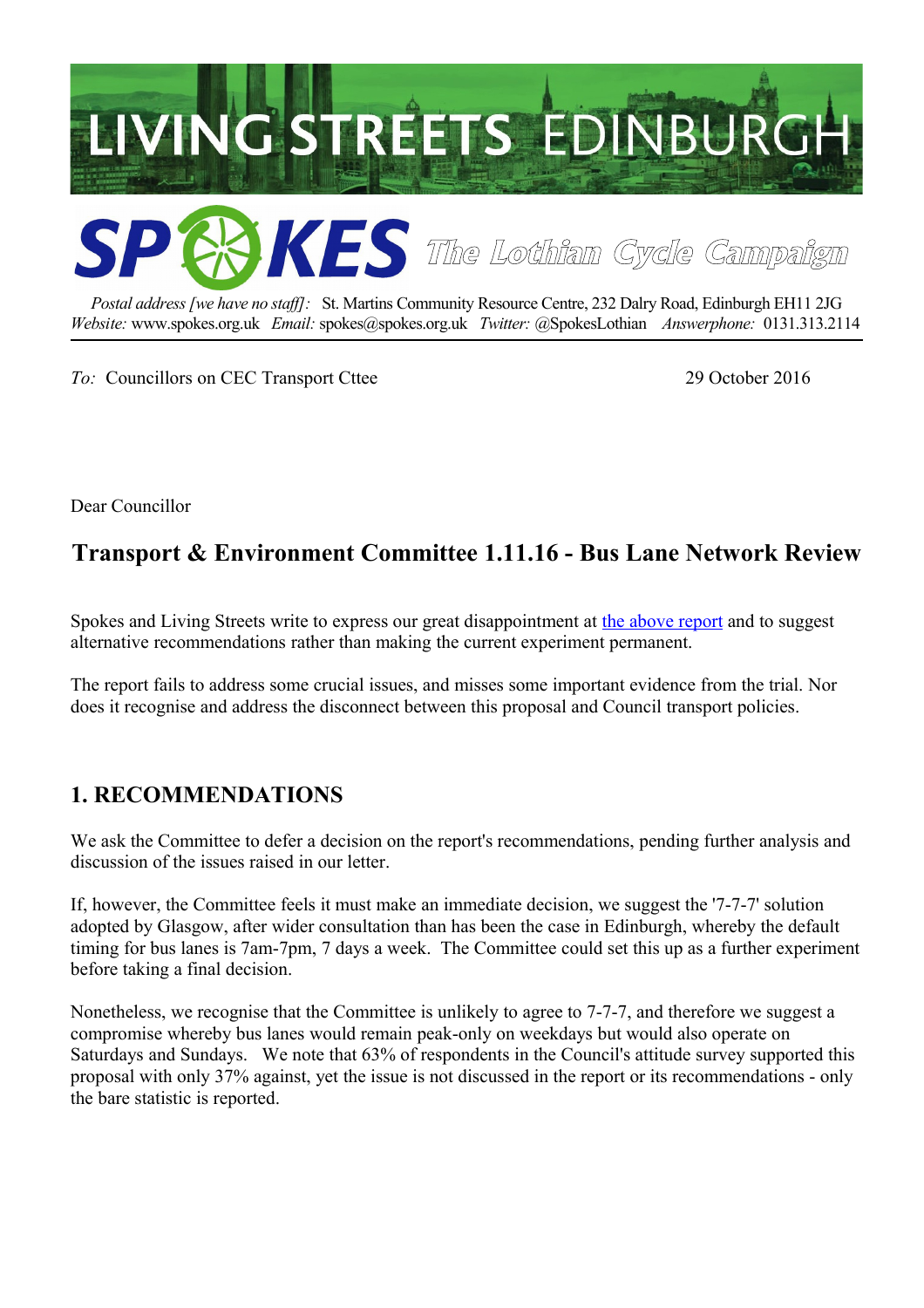

*Postal address [we have no staff]:* St. Martins Community Resource Centre, 232 Dalry Road, Edinburgh EH11 2JG *Website:* www.spokes.org.uk *Email:* spokes@spokes.org.uk *Twitter:* @SpokesLothian *Answerphone:* 0131.313.2114

*To:* Councillors on CEC Transport Cttee 29 October 2016

Dear Councillor

# **Transport & Environment Committee 1.11.16 - Bus Lane Network Review**

Spokes and Living Streets write to express our great disappointment at [the above report](http://www.edinburgh.gov.uk/download/meetings/id/52206/item_76_-_bus_lane_network_review) and to suggest alternative recommendations rather than making the current experiment permanent.

The report fails to address some crucial issues, and misses some important evidence from the trial. Nor does it recognise and address the disconnect between this proposal and Council transport policies.

### **1. RECOMMENDATIONS**

We ask the Committee to defer a decision on the report's recommendations, pending further analysis and discussion of the issues raised in our letter.

If, however, the Committee feels it must make an immediate decision, we suggest the '7-7-7' solution adopted by Glasgow, after wider consultation than has been the case in Edinburgh, whereby the default timing for bus lanes is 7am-7pm, 7 days a week. The Committee could set this up as a further experiment before taking a final decision.

Nonetheless, we recognise that the Committee is unlikely to agree to 7-7-7, and therefore we suggest a compromise whereby bus lanes would remain peak-only on weekdays but would also operate on Saturdays and Sundays. We note that 63% of respondents in the Council's attitude survey supported this proposal with only 37% against, yet the issue is not discussed in the report or its recommendations - only the bare statistic is reported.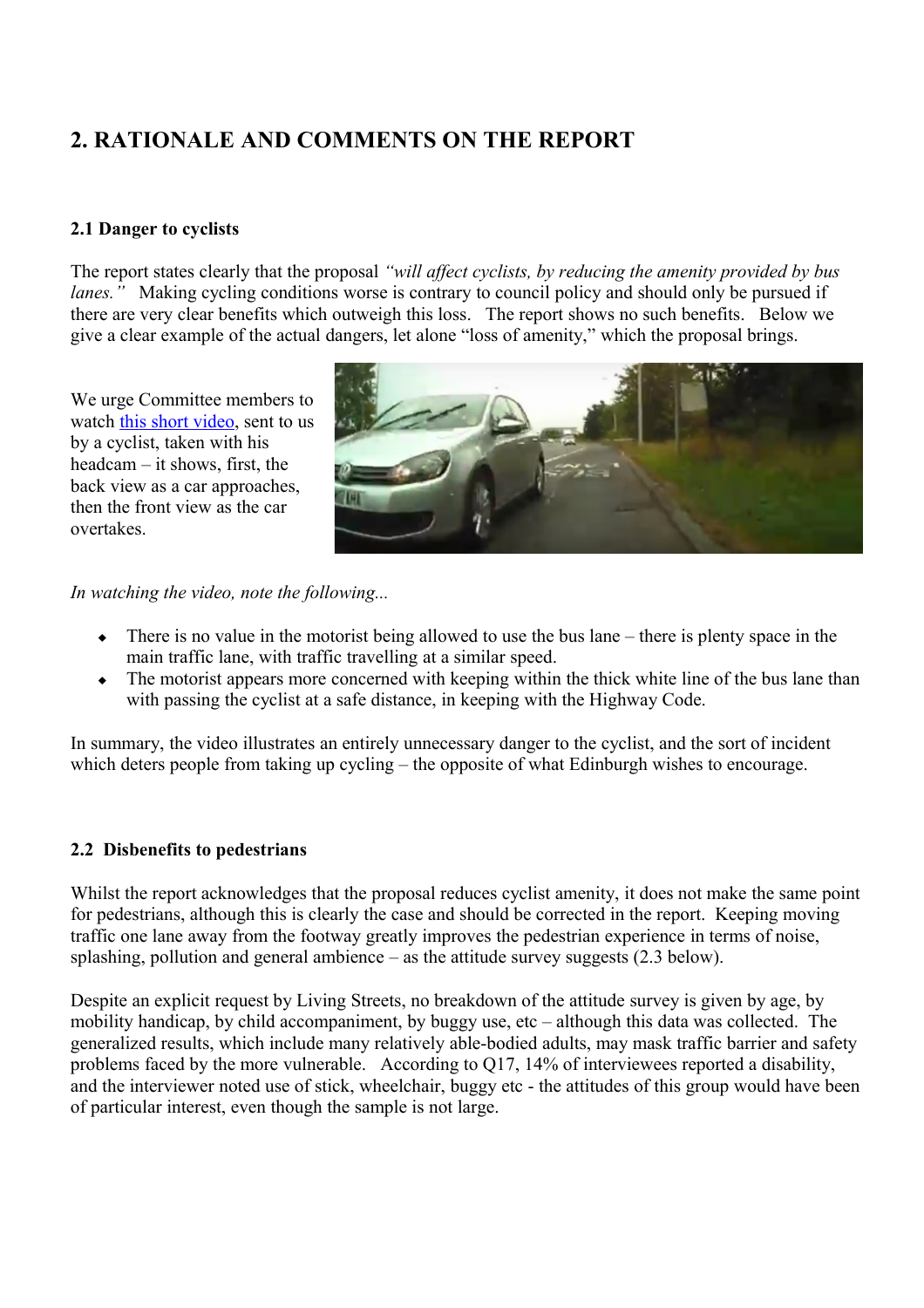## **2. RATIONALE AND COMMENTS ON THE REPORT**

#### **2.1 Danger to cyclists**

The report states clearly that the proposal *"will affect cyclists, by reducing the amenity provided by bus lanes.*" Making cycling conditions worse is contrary to council policy and should only be pursued if there are very clear benefits which outweigh this loss. The report shows no such benefits. Below we give a clear example of the actual dangers, let alone "loss of amenity," which the proposal brings.

We urge Committee members to watch [this short video,](https://twitter.com/mike3legs/status/774263760940851201) sent to us by a cyclist, taken with his headcam – it shows, first, the back view as a car approaches, then the front view as the car overtakes.



*In watching the video, note the following...*

- $\bullet$  There is no value in the motorist being allowed to use the bus lane there is plenty space in the main traffic lane, with traffic travelling at a similar speed.
- The motorist appears more concerned with keeping within the thick white line of the bus lane than with passing the cyclist at a safe distance, in keeping with the Highway Code.

In summary, the video illustrates an entirely unnecessary danger to the cyclist, and the sort of incident which deters people from taking up cycling – the opposite of what Edinburgh wishes to encourage.

#### **2.2 Disbenefits to pedestrians**

Whilst the report acknowledges that the proposal reduces cyclist amenity, it does not make the same point for pedestrians, although this is clearly the case and should be corrected in the report. Keeping moving traffic one lane away from the footway greatly improves the pedestrian experience in terms of noise, splashing, pollution and general ambience – as the attitude survey suggests (2.3 below).

Despite an explicit request by Living Streets, no breakdown of the attitude survey is given by age, by mobility handicap, by child accompaniment, by buggy use, etc – although this data was collected. The generalized results, which include many relatively able-bodied adults, may mask traffic barrier and safety problems faced by the more vulnerable. According to Q17, 14% of interviewees reported a disability, and the interviewer noted use of stick, wheelchair, buggy etc - the attitudes of this group would have been of particular interest, even though the sample is not large.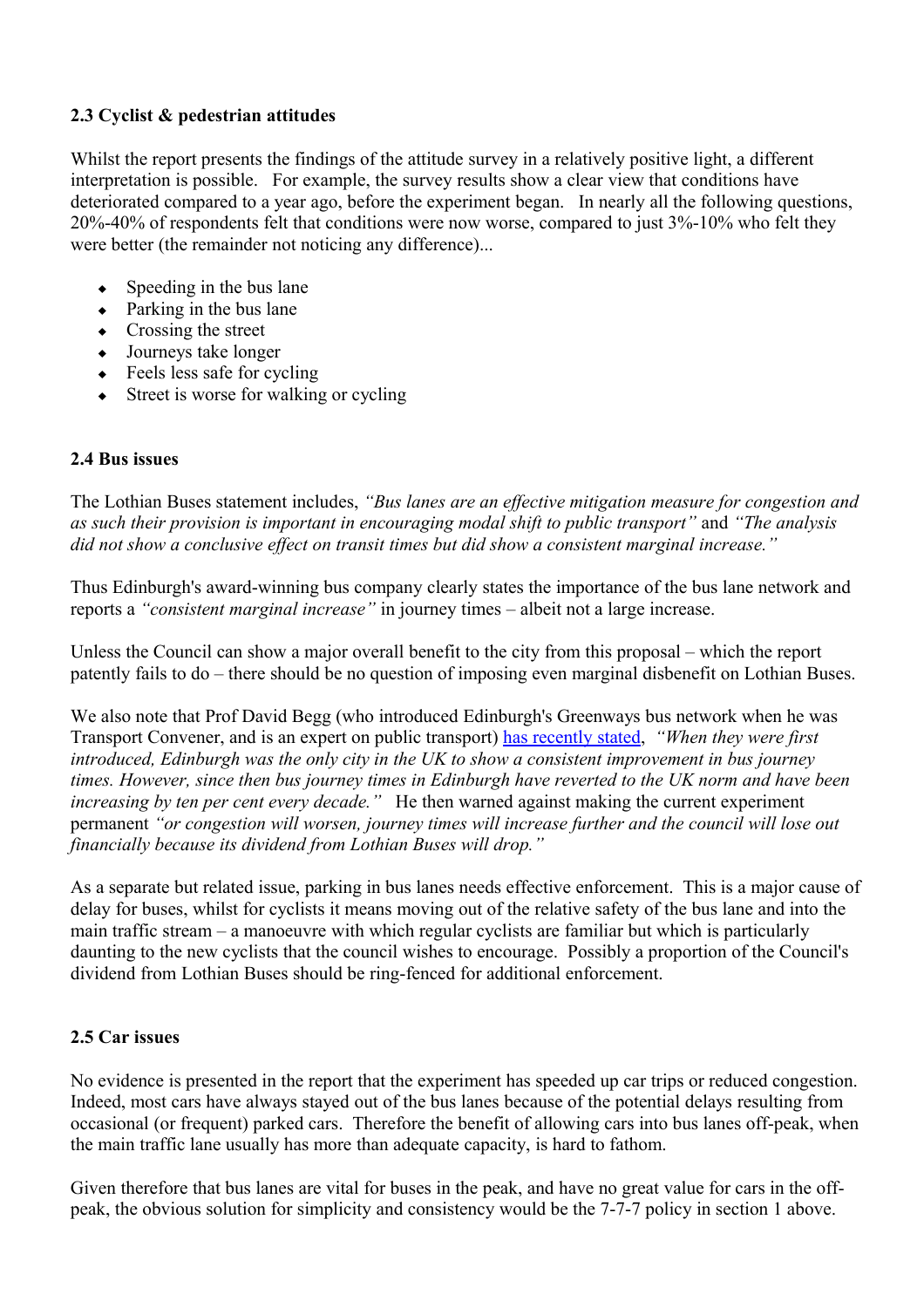#### **2.3 Cyclist & pedestrian attitudes**

Whilst the report presents the findings of the attitude survey in a relatively positive light, a different interpretation is possible. For example, the survey results show a clear view that conditions have deteriorated compared to a year ago, before the experiment began. In nearly all the following questions, 20%-40% of respondents felt that conditions were now worse, compared to just 3%-10% who felt they were better (the remainder not noticing any difference)...

- $\leftrightarrow$  Speeding in the bus lane
- $\leftarrow$  Parking in the bus lane
- Crossing the street
- Journeys take longer
- $\leftarrow$  Feels less safe for cycling
- Street is worse for walking or cycling

#### **2.4 Bus issues**

The Lothian Buses statement includes, *"Bus lanes are an effective mitigation measure for congestion and as such their provision is important in encouraging modal shift to public transport"* and *"The analysis did not show a conclusive effect on transit times but did show a consistent marginal increase."*

Thus Edinburgh's award-winning bus company clearly states the importance of the bus lane network and reports a *"consistent marginal increase"* in journey times – albeit not a large increase.

Unless the Council can show a major overall benefit to the city from this proposal – which the report patently fails to do – there should be no question of imposing even marginal disbenefit on Lothian Buses.

We also note that Prof David Begg (who introduced Edinburgh's Greenways bus network when he was Transport Convener, and is an expert on public transport) [has recently stated,](http://www.edinburghnews.scotsman.com/news/transport/greenways-journey-times-up-18-minutes-1-4144254) *"When they were first introduced, Edinburgh was the only city in the UK to show a consistent improvement in bus journey times. However, since then bus journey times in Edinburgh have reverted to the UK norm and have been increasing by ten per cent every decade."* He then warned against making the current experiment permanent *"or congestion will worsen, journey times will increase further and the council will lose out financially because its dividend from Lothian Buses will drop."*

As a separate but related issue, parking in bus lanes needs effective enforcement. This is a major cause of delay for buses, whilst for cyclists it means moving out of the relative safety of the bus lane and into the main traffic stream – a manoeuvre with which regular cyclists are familiar but which is particularly daunting to the new cyclists that the council wishes to encourage. Possibly a proportion of the Council's dividend from Lothian Buses should be ring-fenced for additional enforcement.

#### **2.5 Car issues**

No evidence is presented in the report that the experiment has speeded up car trips or reduced congestion. Indeed, most cars have always stayed out of the bus lanes because of the potential delays resulting from occasional (or frequent) parked cars. Therefore the benefit of allowing cars into bus lanes off-peak, when the main traffic lane usually has more than adequate capacity, is hard to fathom.

Given therefore that bus lanes are vital for buses in the peak, and have no great value for cars in the offpeak, the obvious solution for simplicity and consistency would be the 7-7-7 policy in section 1 above.